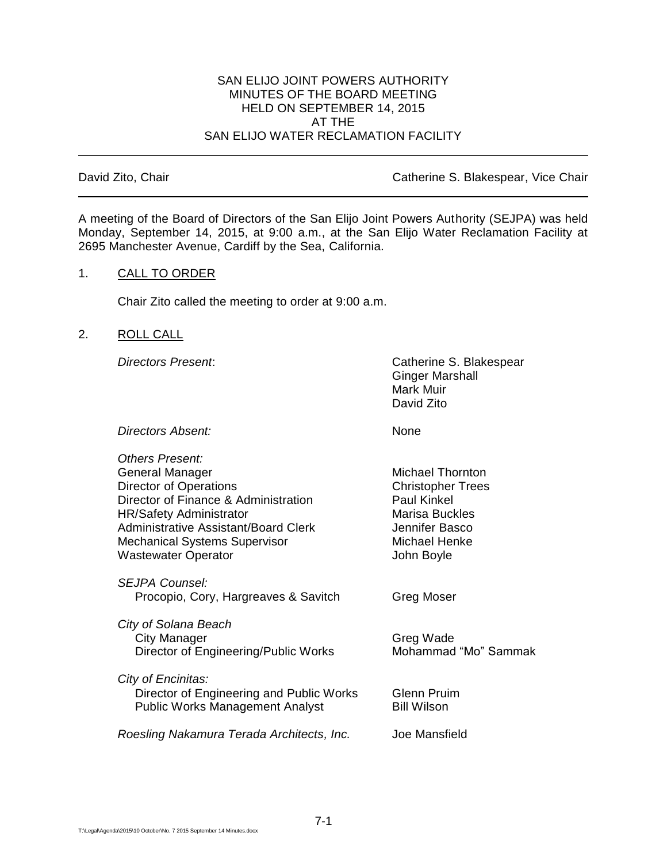## SAN ELIJO JOINT POWERS AUTHORITY MINUTES OF THE BOARD MEETING HELD ON SEPTEMBER 14, 2015 AT THE SAN ELIJO WATER RECLAMATION FACILITY

David Zito, Chair Catherine S. Blakespear, Vice Chair

A meeting of the Board of Directors of the San Elijo Joint Powers Authority (SEJPA) was held Monday, September 14, 2015, at 9:00 a.m., at the San Elijo Water Reclamation Facility at 2695 Manchester Avenue, Cardiff by the Sea, California.

# 1. CALL TO ORDER

Chair Zito called the meeting to order at 9:00 a.m.

## 2. ROLL CALL

*Directors Present*: Catherine S. Blakespear Ginger Marshall Mark Muir David Zito

**Directors Absent:** None

| Others Present:                           |                          |
|-------------------------------------------|--------------------------|
| General Manager                           | <b>Michael Thornton</b>  |
| <b>Director of Operations</b>             | <b>Christopher Trees</b> |
| Director of Finance & Administration      | <b>Paul Kinkel</b>       |
| <b>HR/Safety Administrator</b>            | <b>Marisa Buckles</b>    |
| Administrative Assistant/Board Clerk      | Jennifer Basco           |
| <b>Mechanical Systems Supervisor</b>      | Michael Henke            |
| <b>Wastewater Operator</b>                | John Boyle               |
| SEJPA Counsel:                            |                          |
| Procopio, Cory, Hargreaves & Savitch      | Greg Moser               |
|                                           |                          |
| City of Solana Beach                      |                          |
| City Manager                              | Greg Wade                |
| Director of Engineering/Public Works      | Mohammad "Mo" Sammak     |
|                                           |                          |
| City of Encinitas:                        |                          |
| Director of Engineering and Public Works  | <b>Glenn Pruim</b>       |
| <b>Public Works Management Analyst</b>    | <b>Bill Wilson</b>       |
| Roesling Nakamura Terada Architects, Inc. | Joe Mansfield            |
|                                           |                          |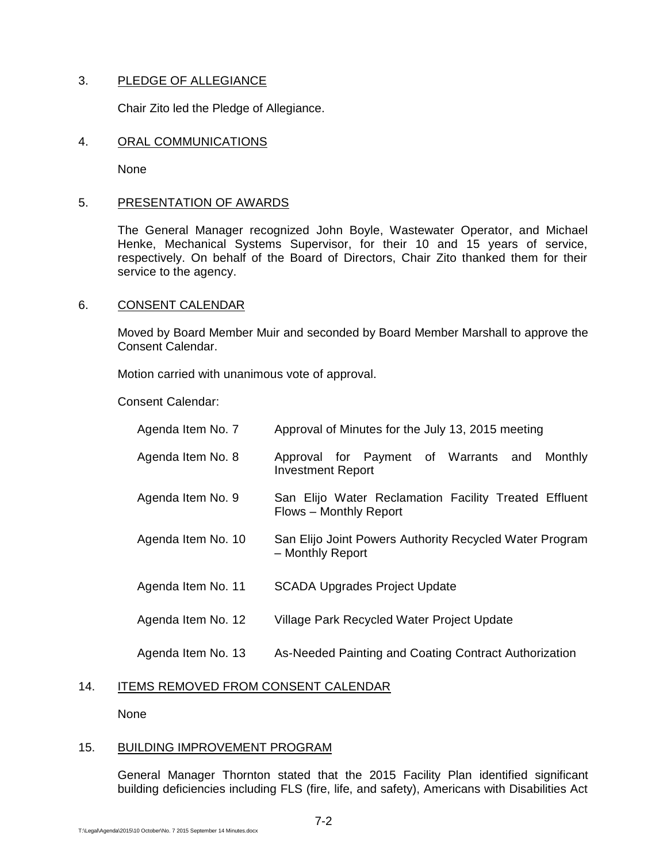# 3. PLEDGE OF ALLEGIANCE

Chair Zito led the Pledge of Allegiance.

## 4. ORAL COMMUNICATIONS

None

## 5. PRESENTATION OF AWARDS

The General Manager recognized John Boyle, Wastewater Operator, and Michael Henke, Mechanical Systems Supervisor, for their 10 and 15 years of service, respectively. On behalf of the Board of Directors, Chair Zito thanked them for their service to the agency.

## 6. CONSENT CALENDAR

Moved by Board Member Muir and seconded by Board Member Marshall to approve the Consent Calendar.

Motion carried with unanimous vote of approval.

Consent Calendar:

| Agenda Item No. 7  | Approval of Minutes for the July 13, 2015 meeting                               |  |
|--------------------|---------------------------------------------------------------------------------|--|
| Agenda Item No. 8  | Approval for Payment of Warrants and<br>Monthly<br><b>Investment Report</b>     |  |
| Agenda Item No. 9  | San Elijo Water Reclamation Facility Treated Effluent<br>Flows - Monthly Report |  |
| Agenda Item No. 10 | San Elijo Joint Powers Authority Recycled Water Program<br>- Monthly Report     |  |
| Agenda Item No. 11 | <b>SCADA Upgrades Project Update</b>                                            |  |
| Agenda Item No. 12 | Village Park Recycled Water Project Update                                      |  |
| Agenda Item No. 13 | As-Needed Painting and Coating Contract Authorization                           |  |

# 14. ITEMS REMOVED FROM CONSENT CALENDAR

None

# 15. BUILDING IMPROVEMENT PROGRAM

General Manager Thornton stated that the 2015 Facility Plan identified significant building deficiencies including FLS (fire, life, and safety), Americans with Disabilities Act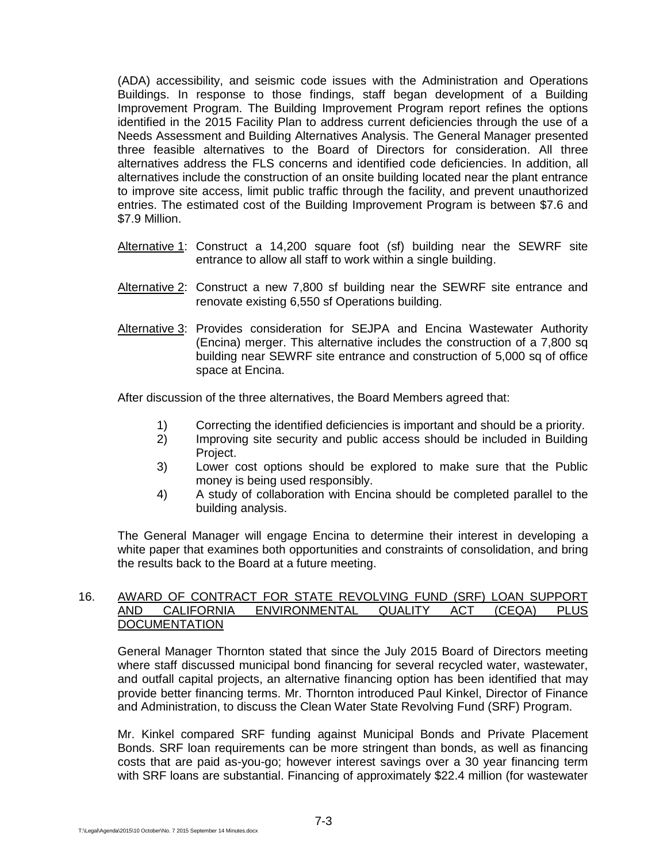(ADA) accessibility, and seismic code issues with the Administration and Operations Buildings. In response to those findings, staff began development of a Building Improvement Program. The Building Improvement Program report refines the options identified in the 2015 Facility Plan to address current deficiencies through the use of a Needs Assessment and Building Alternatives Analysis. The General Manager presented three feasible alternatives to the Board of Directors for consideration. All three alternatives address the FLS concerns and identified code deficiencies. In addition, all alternatives include the construction of an onsite building located near the plant entrance to improve site access, limit public traffic through the facility, and prevent unauthorized entries. The estimated cost of the Building Improvement Program is between \$7.6 and \$7.9 Million.

- Alternative 1: Construct a 14,200 square foot (sf) building near the SEWRF site entrance to allow all staff to work within a single building.
- Alternative 2: Construct a new 7,800 sf building near the SEWRF site entrance and renovate existing 6,550 sf Operations building.
- Alternative 3: Provides consideration for SEJPA and Encina Wastewater Authority (Encina) merger. This alternative includes the construction of a 7,800 sq building near SEWRF site entrance and construction of 5,000 sq of office space at Encina.

After discussion of the three alternatives, the Board Members agreed that:

- 1) Correcting the identified deficiencies is important and should be a priority.
- 2) Improving site security and public access should be included in Building Project.
- 3) Lower cost options should be explored to make sure that the Public money is being used responsibly.
- 4) A study of collaboration with Encina should be completed parallel to the building analysis.

The General Manager will engage Encina to determine their interest in developing a white paper that examines both opportunities and constraints of consolidation, and bring the results back to the Board at a future meeting.

#### 16. AWARD OF CONTRACT FOR STATE REVOLVING FUND (SRF) LOAN SUPPORT AND CALIFORNIA ENVIRONMENTAL QUALITY ACT (CEQA) PLUS **DOCUMENTATION**

General Manager Thornton stated that since the July 2015 Board of Directors meeting where staff discussed municipal bond financing for several recycled water, wastewater, and outfall capital projects, an alternative financing option has been identified that may provide better financing terms. Mr. Thornton introduced Paul Kinkel, Director of Finance and Administration, to discuss the Clean Water State Revolving Fund (SRF) Program.

Mr. Kinkel compared SRF funding against Municipal Bonds and Private Placement Bonds. SRF loan requirements can be more stringent than bonds, as well as financing costs that are paid as-you-go; however interest savings over a 30 year financing term with SRF loans are substantial. Financing of approximately \$22.4 million (for wastewater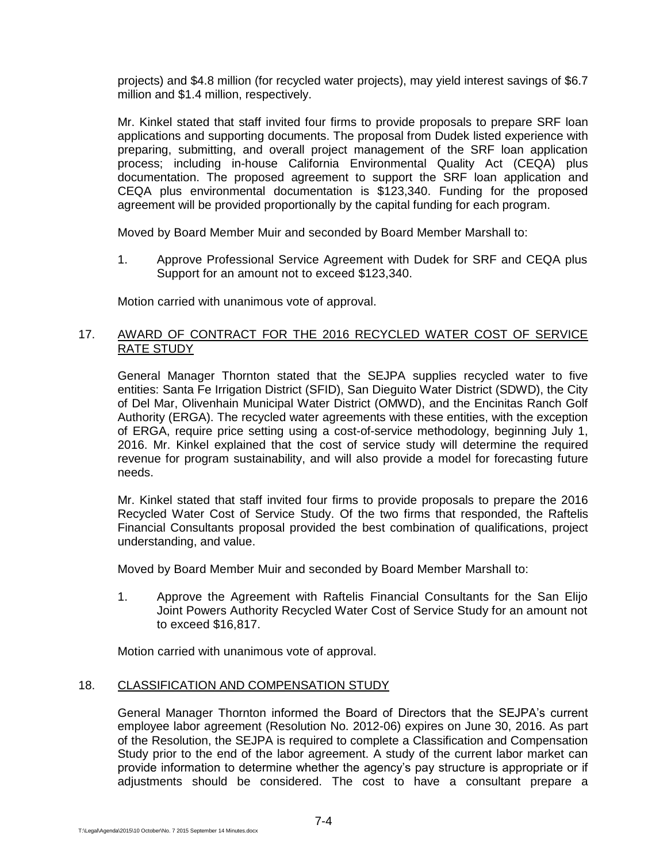projects) and \$4.8 million (for recycled water projects), may yield interest savings of \$6.7 million and \$1.4 million, respectively.

Mr. Kinkel stated that staff invited four firms to provide proposals to prepare SRF loan applications and supporting documents. The proposal from Dudek listed experience with preparing, submitting, and overall project management of the SRF loan application process; including in-house California Environmental Quality Act (CEQA) plus documentation. The proposed agreement to support the SRF loan application and CEQA plus environmental documentation is \$123,340. Funding for the proposed agreement will be provided proportionally by the capital funding for each program.

Moved by Board Member Muir and seconded by Board Member Marshall to:

1. Approve Professional Service Agreement with Dudek for SRF and CEQA plus Support for an amount not to exceed \$123,340.

Motion carried with unanimous vote of approval.

## 17. AWARD OF CONTRACT FOR THE 2016 RECYCLED WATER COST OF SERVICE RATE STUDY

General Manager Thornton stated that the SEJPA supplies recycled water to five entities: Santa Fe Irrigation District (SFID), San Dieguito Water District (SDWD), the City of Del Mar, Olivenhain Municipal Water District (OMWD), and the Encinitas Ranch Golf Authority (ERGA). The recycled water agreements with these entities, with the exception of ERGA, require price setting using a cost-of-service methodology, beginning July 1, 2016. Mr. Kinkel explained that the cost of service study will determine the required revenue for program sustainability, and will also provide a model for forecasting future needs.

Mr. Kinkel stated that staff invited four firms to provide proposals to prepare the 2016 Recycled Water Cost of Service Study. Of the two firms that responded, the Raftelis Financial Consultants proposal provided the best combination of qualifications, project understanding, and value.

Moved by Board Member Muir and seconded by Board Member Marshall to:

1. Approve the Agreement with Raftelis Financial Consultants for the San Elijo Joint Powers Authority Recycled Water Cost of Service Study for an amount not to exceed \$16,817.

Motion carried with unanimous vote of approval.

# 18. CLASSIFICATION AND COMPENSATION STUDY

General Manager Thornton informed the Board of Directors that the SEJPA's current employee labor agreement (Resolution No. 2012-06) expires on June 30, 2016. As part of the Resolution, the SEJPA is required to complete a Classification and Compensation Study prior to the end of the labor agreement. A study of the current labor market can provide information to determine whether the agency's pay structure is appropriate or if adjustments should be considered. The cost to have a consultant prepare a